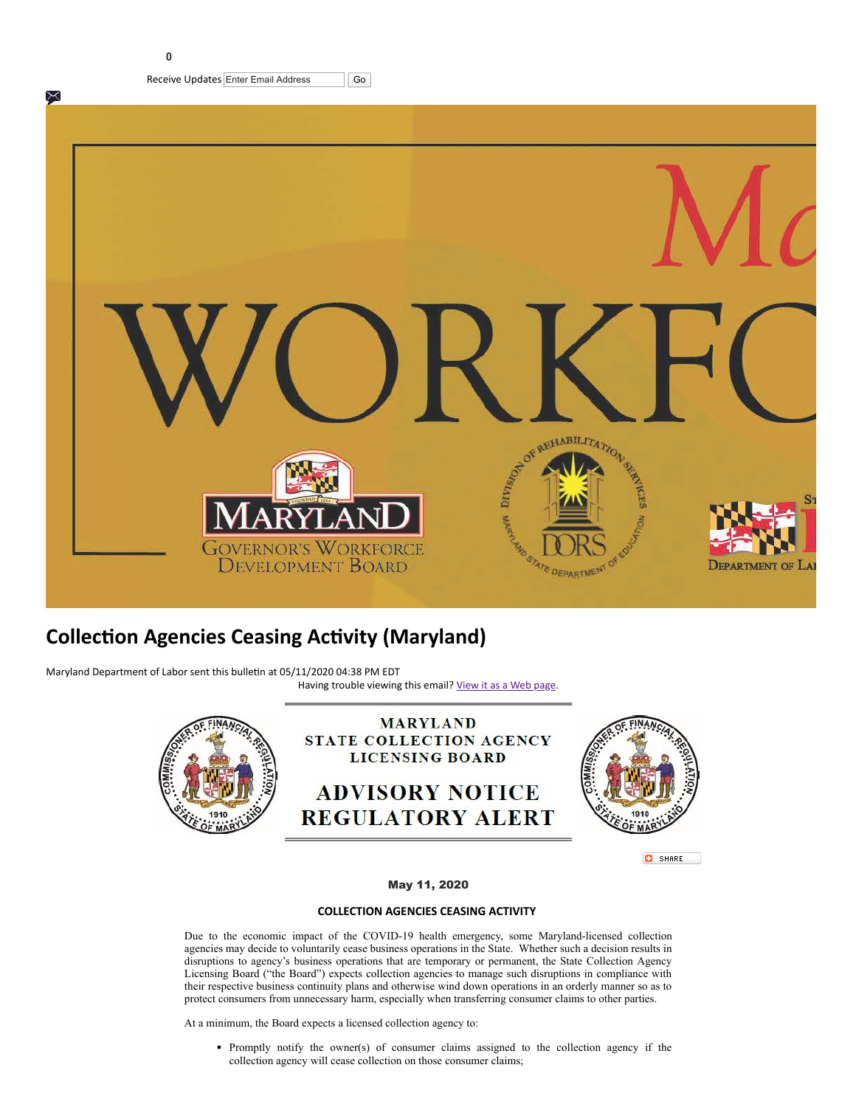**0**



## **Collection Agencies Ceasing Activity (Maryland)**

Maryland Department of Labor sent this bulletin at 05/11/2020 04:38 PM EDT Having trouble viewing this email? [View it as a Web page.](https://content.govdelivery.com/accounts/MDDLLR/bulletins/28b065f)





**C** SHARE

## May 11, 2020

## **COLLECTION AGENCIES CEASING ACTIVITY**

Due to the economic impact of the COVID-19 health emergency, some Maryland-licensed collection agencies may decide to voluntarily cease business operations in the State. Whether such a decision results in disruptions to agency's business operations that are temporary or permanent, the State Collection Agency Licensing Board ("the Board") expects collection agencies to manage such disruptions in compliance with their respective business continuity plans and otherwise wind down operations in an orderly manner so as to protect consumers from unnecessary harm, especially when transferring consumer claims to other parties.

At a minimum, the Board expects a licensed collection agency to:

Promptly notify the owner(s) of consumer claims assigned to the collection agency if the collection agency will cease collection on those consumer claims;